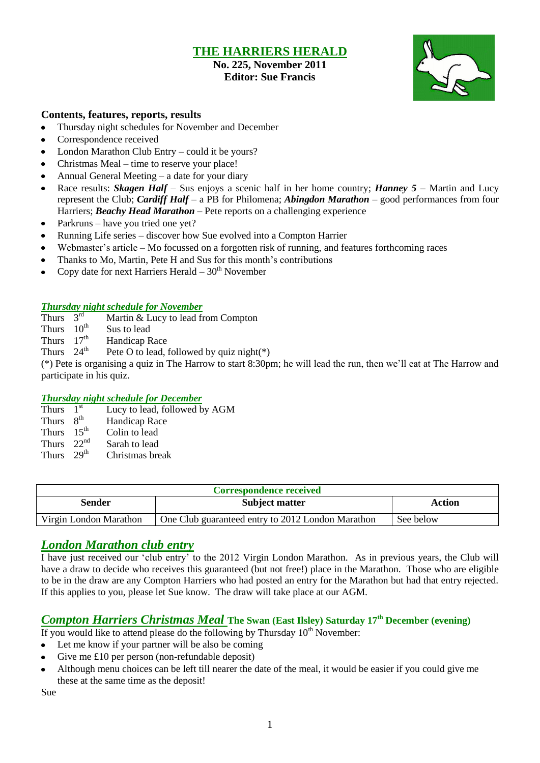## **THE HARRIERS HERALD**

## **No. 225, November 2011 Editor: Sue Francis**



### **Contents, features, reports, results**

- Thursday night schedules for November and December
- Correspondence received
- $\bullet$ London Marathon Club Entry – could it be yours?
- Christmas Meal time to reserve your place!  $\bullet$
- Annual General Meeting a date for your diary
- Race results: *Skagen Half* Sus enjoys a scenic half in her home country; *Hanney 5 –* Martin and Lucy represent the Club; *Cardiff Half –* a PB for Philomena; *Abingdon Marathon* – good performances from four Harriers; *Beachy Head Marathon* – Pete reports on a challenging experience
- Parkruns have you tried one yet?  $\bullet$
- Running Life series discover how Sue evolved into a Compton Harrier
- Webmaster's article Mo focussed on a forgotten risk of running, and features forthcoming races
- Thanks to Mo, Martin, Pete H and Sus for this month's contributions
- Copy date for next Harriers Herald  $-30<sup>th</sup>$  November

### *Thursday night schedule for November*

Thurs  $3<sup>rd</sup>$ Martin & Lucy to lead from Compton

Thurs  $10^{th}$  Sus to lead

Thurs  $17<sup>th</sup>$ Handicap Race

Thurs  $24^{\text{th}}$ Pete O to lead, followed by quiz night(\*)

(\*) Pete is organising a quiz in The Harrow to start 8:30pm; he will lead the run, then we"ll eat at The Harrow and participate in his quiz.

### *Thursday night schedule for December*

| Thurs        | 1 <sup>st</sup>  | Lucy to lead, followed by AGM |
|--------------|------------------|-------------------------------|
| Thurs        | $R^{th}$         | Handicap Race                 |
| Thurs        | $15^{th}$        | Colin to lead                 |
| Thurs        | 22 <sup>nd</sup> | Sarah to lead                 |
| Thurs $29th$ |                  | Christmas break               |

| <b>Correspondence received</b> |                                                   |           |  |  |
|--------------------------------|---------------------------------------------------|-----------|--|--|
| Sender                         | <b>Subject matter</b>                             | Action    |  |  |
| Virgin London Marathon         | One Club guaranteed entry to 2012 London Marathon | See below |  |  |

## *London Marathon club entry*

I have just received our "club entry" to the 2012 Virgin London Marathon. As in previous years, the Club will have a draw to decide who receives this guaranteed (but not free!) place in the Marathon. Those who are eligible to be in the draw are any Compton Harriers who had posted an entry for the Marathon but had that entry rejected. If this applies to you, please let Sue know. The draw will take place at our AGM.

## *Compton Harriers Christmas Meal* **The Swan (East Ilsley) Saturday 17th December (evening)**

- If you would like to attend please do the following by Thursday  $10<sup>th</sup>$  November:
- Let me know if your partner will be also be coming
- Give me £10 per person (non-refundable deposit)
- Although menu choices can be left till nearer the date of the meal, it would be easier if you could give me these at the same time as the deposit!

Sue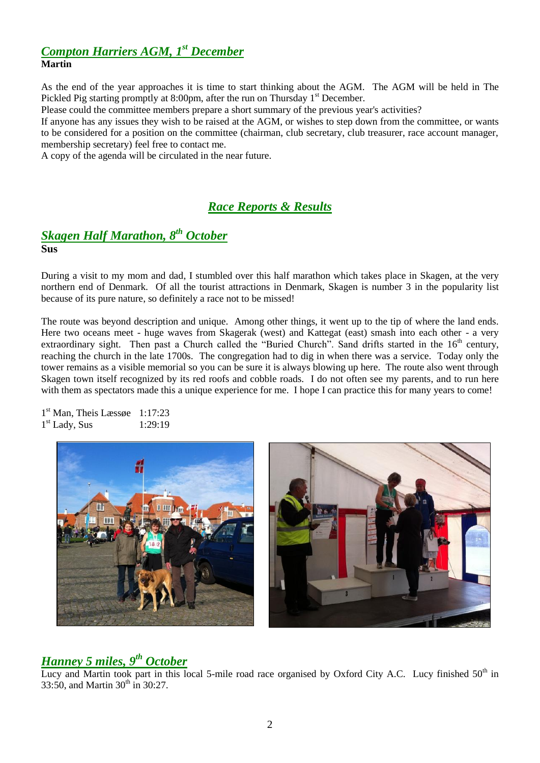# *Compton Harriers AGM, 1st December*

### **Martin**

As the end of the year approaches it is time to start thinking about the AGM. The AGM will be held in The Pickled Pig starting promptly at 8:00pm, after the run on Thursday 1<sup>st</sup> December.

Please could the committee members prepare a short summary of the previous year's activities?

If anyone has any issues they wish to be raised at the AGM, or wishes to step down from the committee, or wants to be considered for a position on the committee (chairman, club secretary, club treasurer, race account manager, membership secretary) feel free to contact me.

A copy of the agenda will be circulated in the near future.

## *Race Reports & Results*

# *Skagen Half Marathon, 8th October*

**Sus**

During a visit to my mom and dad, I stumbled over this half marathon which takes place in Skagen, at the very northern end of Denmark. Of all the tourist attractions in Denmark, Skagen is number 3 in the popularity list because of its pure nature, so definitely a race not to be missed!

The route was beyond description and unique. Among other things, it went up to the tip of where the land ends. Here two oceans meet - huge waves from Skagerak (west) and Kattegat (east) smash into each other - a very extraordinary sight. Then past a Church called the "Buried Church". Sand drifts started in the 16<sup>th</sup> century, reaching the church in the late 1700s. The congregation had to dig in when there was a service. Today only the tower remains as a visible memorial so you can be sure it is always blowing up here. The route also went through Skagen town itself recognized by its red roofs and cobble roads. I do not often see my parents, and to run here with them as spectators made this a unique experience for me. I hope I can practice this for many years to come!

1 st Man, Theis Læssøe 1:17:23 1 st Lady, Sus 1:29:19



# *Hanney 5 miles, 9th October*

Lucy and Martin took part in this local 5-mile road race organised by Oxford City A.C. Lucy finished  $50<sup>th</sup>$  in 33:50, and Martin  $30^{th}$  in  $30:27$ .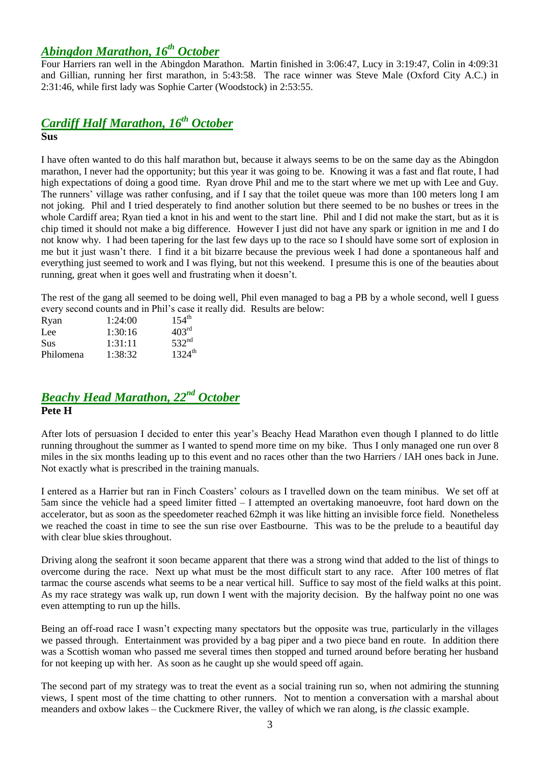## *Abingdon Marathon, 16th October*

Four Harriers ran well in the Abingdon Marathon. Martin finished in 3:06:47, Lucy in 3:19:47, Colin in 4:09:31 and Gillian, running her first marathon, in 5:43:58. The race winner was Steve Male (Oxford City A.C.) in 2:31:46, while first lady was Sophie Carter (Woodstock) in 2:53:55.

# *Cardiff Half Marathon, 16th October*

**Sus**

I have often wanted to do this half marathon but, because it always seems to be on the same day as the Abingdon marathon, I never had the opportunity; but this year it was going to be. Knowing it was a fast and flat route, I had high expectations of doing a good time. Ryan drove Phil and me to the start where we met up with Lee and Guy. The runners" village was rather confusing, and if I say that the toilet queue was more than 100 meters long I am not joking. Phil and I tried desperately to find another solution but there seemed to be no bushes or trees in the whole Cardiff area; Ryan tied a knot in his and went to the start line. Phil and I did not make the start, but as it is chip timed it should not make a big difference. However I just did not have any spark or ignition in me and I do not know why. I had been tapering for the last few days up to the race so I should have some sort of explosion in me but it just wasn"t there. I find it a bit bizarre because the previous week I had done a spontaneous half and everything just seemed to work and I was flying, but not this weekend. I presume this is one of the beauties about running, great when it goes well and frustrating when it doesn"t.

The rest of the gang all seemed to be doing well, Phil even managed to bag a PB by a whole second, well I guess every second counts and in Phil"s case it really did. Results are below:

| 1:24:00 | $154^{\text{th}}$  |
|---------|--------------------|
| 1:30:16 | 403 <sup>rd</sup>  |
| 1:31:11 | 532 <sup>nd</sup>  |
| 1:38:32 | $1324^{\text{th}}$ |
|         |                    |

## *Beachy Head Marathon, 22nd October* **Pete H**

After lots of persuasion I decided to enter this year"s Beachy Head Marathon even though I planned to do little running throughout the summer as I wanted to spend more time on my bike. Thus I only managed one run over 8 miles in the six months leading up to this event and no races other than the two Harriers / IAH ones back in June. Not exactly what is prescribed in the training manuals.

I entered as a Harrier but ran in Finch Coasters' colours as I travelled down on the team minibus. We set off at 5am since the vehicle had a speed limiter fitted – I attempted an overtaking manoeuvre, foot hard down on the accelerator, but as soon as the speedometer reached 62mph it was like hitting an invisible force field. Nonetheless we reached the coast in time to see the sun rise over Eastbourne. This was to be the prelude to a beautiful day with clear blue skies throughout.

Driving along the seafront it soon became apparent that there was a strong wind that added to the list of things to overcome during the race. Next up what must be the most difficult start to any race. After 100 metres of flat tarmac the course ascends what seems to be a near vertical hill. Suffice to say most of the field walks at this point. As my race strategy was walk up, run down I went with the majority decision. By the halfway point no one was even attempting to run up the hills.

Being an off-road race I wasn't expecting many spectators but the opposite was true, particularly in the villages we passed through. Entertainment was provided by a bag piper and a two piece band en route. In addition there was a Scottish woman who passed me several times then stopped and turned around before berating her husband for not keeping up with her. As soon as he caught up she would speed off again.

The second part of my strategy was to treat the event as a social training run so, when not admiring the stunning views, I spent most of the time chatting to other runners. Not to mention a conversation with a marshal about meanders and oxbow lakes – the Cuckmere River, the valley of which we ran along, is *the* classic example.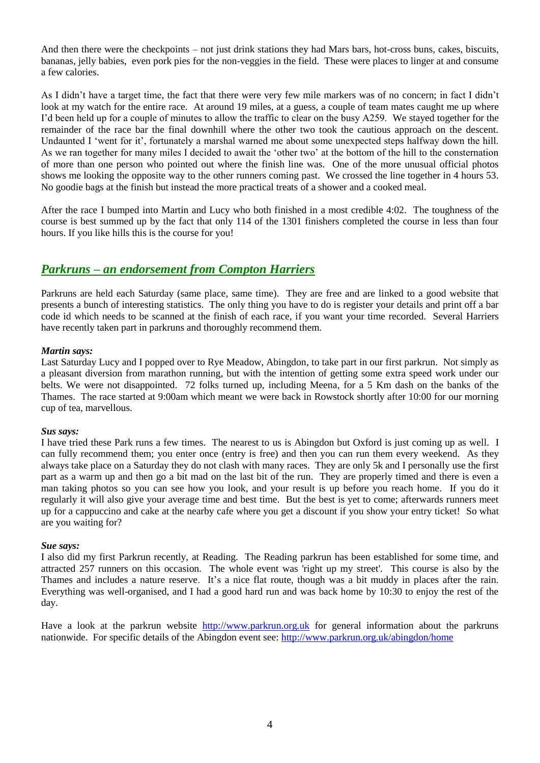And then there were the checkpoints – not just drink stations they had Mars bars, hot-cross buns, cakes, biscuits, bananas, jelly babies, even pork pies for the non-veggies in the field. These were places to linger at and consume a few calories.

As I didn't have a target time, the fact that there were very few mile markers was of no concern; in fact I didn't look at my watch for the entire race. At around 19 miles, at a guess, a couple of team mates caught me up where I"d been held up for a couple of minutes to allow the traffic to clear on the busy A259. We stayed together for the remainder of the race bar the final downhill where the other two took the cautious approach on the descent. Undaunted I 'went for it', fortunately a marshal warned me about some unexpected steps halfway down the hill. As we ran together for many miles I decided to await the "other two" at the bottom of the hill to the consternation of more than one person who pointed out where the finish line was. One of the more unusual official photos shows me looking the opposite way to the other runners coming past. We crossed the line together in 4 hours 53. No goodie bags at the finish but instead the more practical treats of a shower and a cooked meal.

After the race I bumped into Martin and Lucy who both finished in a most credible 4:02. The toughness of the course is best summed up by the fact that only 114 of the 1301 finishers completed the course in less than four hours. If you like hills this is the course for you!

## *Parkruns – an endorsement from Compton Harriers*

Parkruns are held each Saturday (same place, same time). They are free and are linked to a good website that presents a bunch of interesting statistics. The only thing you have to do is register your details and print off a bar code id which needs to be scanned at the finish of each race, if you want your time recorded. Several Harriers have recently taken part in parkruns and thoroughly recommend them.

### *Martin says:*

Last Saturday Lucy and I popped over to Rye Meadow, Abingdon, to take part in our first parkrun. Not simply as a pleasant diversion from marathon running, but with the intention of getting some extra speed work under our belts. We were not disappointed. 72 folks turned up, including Meena, for a 5 Km dash on the banks of the Thames. The race started at 9:00am which meant we were back in Rowstock shortly after 10:00 for our morning cup of tea, marvellous.

### *Sus says:*

I have tried these Park runs a few times. The nearest to us is Abingdon but Oxford is just coming up as well. I can fully recommend them; you enter once (entry is free) and then you can run them every weekend. As they always take place on a Saturday they do not clash with many races. They are only 5k and I personally use the first part as a warm up and then go a bit mad on the last bit of the run. They are properly timed and there is even a man taking photos so you can see how you look, and your result is up before you reach home. If you do it regularly it will also give your average time and best time. But the best is yet to come; afterwards runners meet up for a cappuccino and cake at the nearby cafe where you get a discount if you show your entry ticket! So what are you waiting for?

### *Sue says:*

I also did my first Parkrun recently, at Reading. The Reading parkrun has been established for some time, and attracted 257 runners on this occasion. The whole event was 'right up my street'. This course is also by the Thames and includes a nature reserve. It's a nice flat route, though was a bit muddy in places after the rain. Everything was well-organised, and I had a good hard run and was back home by 10:30 to enjoy the rest of the day.

Have a look at the parkrun website [http://www.parkrun.org.uk](http://www.parkrun.org.uk/) for general information about the parkruns nationwide. For specific details of the Abingdon event see:<http://www.parkrun.org.uk/abingdon/home>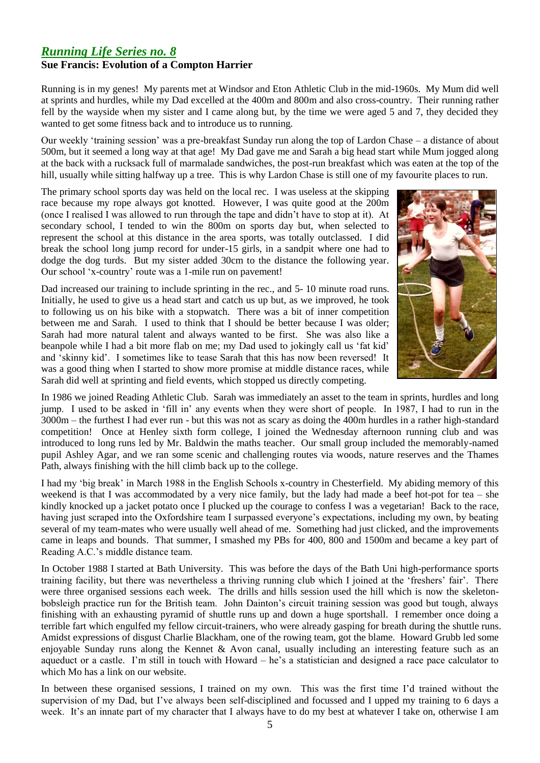## *Running Life Series no. 8* **Sue Francis: Evolution of a Compton Harrier**

Running is in my genes! My parents met at Windsor and Eton Athletic Club in the mid-1960s. My Mum did well at sprints and hurdles, while my Dad excelled at the 400m and 800m and also cross-country. Their running rather fell by the wayside when my sister and I came along but, by the time we were aged 5 and 7, they decided they wanted to get some fitness back and to introduce us to running.

Our weekly "training session" was a pre-breakfast Sunday run along the top of Lardon Chase – a distance of about 500m, but it seemed a long way at that age! My Dad gave me and Sarah a big head start while Mum jogged along at the back with a rucksack full of marmalade sandwiches, the post-run breakfast which was eaten at the top of the hill, usually while sitting halfway up a tree. This is why Lardon Chase is still one of my favourite places to run.

The primary school sports day was held on the local rec. I was useless at the skipping race because my rope always got knotted. However, I was quite good at the 200m (once I realised I was allowed to run through the tape and didn"t have to stop at it). At secondary school, I tended to win the 800m on sports day but, when selected to represent the school at this distance in the area sports, was totally outclassed. I did break the school long jump record for under-15 girls, in a sandpit where one had to dodge the dog turds. But my sister added 30cm to the distance the following year. Our school "x-country" route was a 1-mile run on pavement!

Dad increased our training to include sprinting in the rec., and 5- 10 minute road runs. Initially, he used to give us a head start and catch us up but, as we improved, he took to following us on his bike with a stopwatch. There was a bit of inner competition between me and Sarah. I used to think that I should be better because I was older; Sarah had more natural talent and always wanted to be first. She was also like a beanpole while I had a bit more flab on me; my Dad used to jokingly call us "fat kid" and "skinny kid". I sometimes like to tease Sarah that this has now been reversed! It was a good thing when I started to show more promise at middle distance races, while Sarah did well at sprinting and field events, which stopped us directly competing.



In 1986 we joined Reading Athletic Club. Sarah was immediately an asset to the team in sprints, hurdles and long jump. I used to be asked in "fill in" any events when they were short of people. In 1987, I had to run in the 3000m – the furthest I had ever run - but this was not as scary as doing the 400m hurdles in a rather high-standard competition! Once at Henley sixth form college, I joined the Wednesday afternoon running club and was introduced to long runs led by Mr. Baldwin the maths teacher. Our small group included the memorably-named pupil Ashley Agar, and we ran some scenic and challenging routes via woods, nature reserves and the Thames Path, always finishing with the hill climb back up to the college.

I had my "big break" in March 1988 in the English Schools x-country in Chesterfield. My abiding memory of this weekend is that I was accommodated by a very nice family, but the lady had made a beef hot-pot for tea – she kindly knocked up a jacket potato once I plucked up the courage to confess I was a vegetarian! Back to the race, having just scraped into the Oxfordshire team I surpassed everyone's expectations, including my own, by beating several of my team-mates who were usually well ahead of me. Something had just clicked, and the improvements came in leaps and bounds. That summer, I smashed my PBs for 400, 800 and 1500m and became a key part of Reading A.C."s middle distance team.

In October 1988 I started at Bath University. This was before the days of the Bath Uni high-performance sports training facility, but there was nevertheless a thriving running club which I joined at the "freshers" fair". There were three organised sessions each week. The drills and hills session used the hill which is now the skeletonbobsleigh practice run for the British team. John Dainton"s circuit training session was good but tough, always finishing with an exhausting pyramid of shuttle runs up and down a huge sportshall. I remember once doing a terrible fart which engulfed my fellow circuit-trainers, who were already gasping for breath during the shuttle runs. Amidst expressions of disgust Charlie Blackham, one of the rowing team, got the blame. Howard Grubb led some enjoyable Sunday runs along the Kennet & Avon canal, usually including an interesting feature such as an aqueduct or a castle. I"m still in touch with Howard – he"s a statistician and designed a race pace calculator to which Mo has a link on our website.

In between these organised sessions, I trained on my own. This was the first time I"d trained without the supervision of my Dad, but I"ve always been self-disciplined and focussed and I upped my training to 6 days a week. It's an innate part of my character that I always have to do my best at whatever I take on, otherwise I am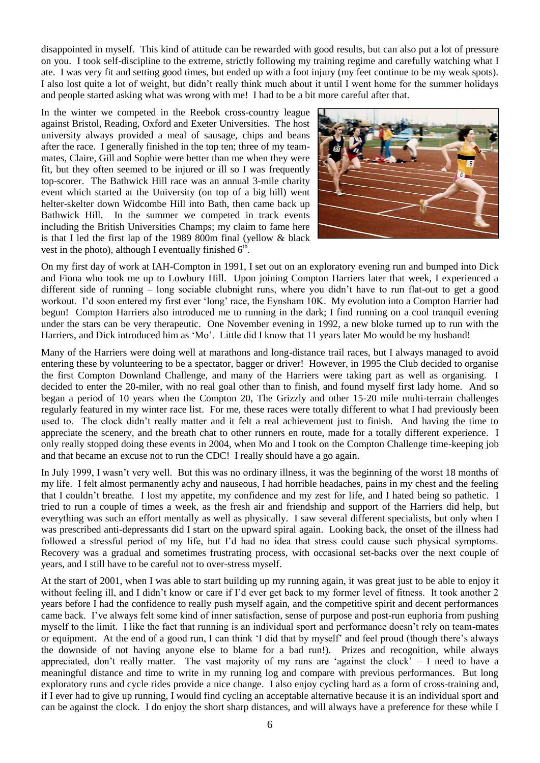disappointed in myself. This kind of attitude can be rewarded with good results, but can also put a lot of pressure on you. I took self-discipline to the extreme, strictly following my training regime and carefully watching what I ate. I was very fit and setting good times, but ended up with a foot injury (my feet continue to be my weak spots). I also lost quite a lot of weight, but didn"t really think much about it until I went home for the summer holidays and people started asking what was wrong with me! I had to be a bit more careful after that.

In the winter we competed in the Reebok cross-country league against Bristol, Reading, Oxford and Exeter Universities. The host university always provided a meal of sausage, chips and beans after the race. I generally finished in the top ten; three of my teammates, Claire, Gill and Sophie were better than me when they were fit, but they often seemed to be injured or ill so I was frequently top-scorer. The Bathwick Hill race was an annual 3-mile charity event which started at the University (on top of a big hill) went helter-skelter down Widcombe Hill into Bath, then came back up Bathwick Hill. In the summer we competed in track events including the British Universities Champs; my claim to fame here is that I led the first lap of the 1989 800m final (yellow & black vest in the photo), although I eventually finished  $6<sup>th</sup>$ .



On my first day of work at IAH-Compton in 1991, I set out on an exploratory evening run and bumped into Dick and Fiona who took me up to Lowbury Hill. Upon joining Compton Harriers later that week, I experienced a different side of running – long sociable clubnight runs, where you didn"t have to run flat-out to get a good workout. I"d soon entered my first ever "long" race, the Eynsham 10K. My evolution into a Compton Harrier had begun! Compton Harriers also introduced me to running in the dark; I find running on a cool tranquil evening under the stars can be very therapeutic. One November evening in 1992, a new bloke turned up to run with the Harriers, and Dick introduced him as 'Mo'. Little did I know that 11 years later Mo would be my husband!

Many of the Harriers were doing well at marathons and long-distance trail races, but I always managed to avoid entering these by volunteering to be a spectator, bagger or driver! However, in 1995 the Club decided to organise the first Compton Downland Challenge, and many of the Harriers were taking part as well as organising. I decided to enter the 20-miler, with no real goal other than to finish, and found myself first lady home. And so began a period of 10 years when the Compton 20, The Grizzly and other 15-20 mile multi-terrain challenges regularly featured in my winter race list. For me, these races were totally different to what I had previously been used to. The clock didn"t really matter and it felt a real achievement just to finish. And having the time to appreciate the scenery, and the breath chat to other runners en route, made for a totally different experience. I only really stopped doing these events in 2004, when Mo and I took on the Compton Challenge time-keeping job and that became an excuse not to run the CDC! I really should have a go again.

In July 1999, I wasn"t very well. But this was no ordinary illness, it was the beginning of the worst 18 months of my life. I felt almost permanently achy and nauseous, I had horrible headaches, pains in my chest and the feeling that I couldn"t breathe. I lost my appetite, my confidence and my zest for life, and I hated being so pathetic. I tried to run a couple of times a week, as the fresh air and friendship and support of the Harriers did help, but everything was such an effort mentally as well as physically. I saw several different specialists, but only when I was prescribed anti-depressants did I start on the upward spiral again. Looking back, the onset of the illness had followed a stressful period of my life, but I"d had no idea that stress could cause such physical symptoms. Recovery was a gradual and sometimes frustrating process, with occasional set-backs over the next couple of years, and I still have to be careful not to over-stress myself.

At the start of 2001, when I was able to start building up my running again, it was great just to be able to enjoy it without feeling ill, and I didn't know or care if I'd ever get back to my former level of fitness. It took another 2 years before I had the confidence to really push myself again, and the competitive spirit and decent performances came back. I"ve always felt some kind of inner satisfaction, sense of purpose and post-run euphoria from pushing myself to the limit. I like the fact that running is an individual sport and performance doesn"t rely on team-mates or equipment. At the end of a good run, I can think "I did that by myself" and feel proud (though there"s always the downside of not having anyone else to blame for a bad run!). Prizes and recognition, while always appreciated, don't really matter. The vast majority of my runs are 'against the clock' - I need to have a meaningful distance and time to write in my running log and compare with previous performances. But long exploratory runs and cycle rides provide a nice change. I also enjoy cycling hard as a form of cross-training and, if I ever had to give up running, I would find cycling an acceptable alternative because it is an individual sport and can be against the clock. I do enjoy the short sharp distances, and will always have a preference for these while I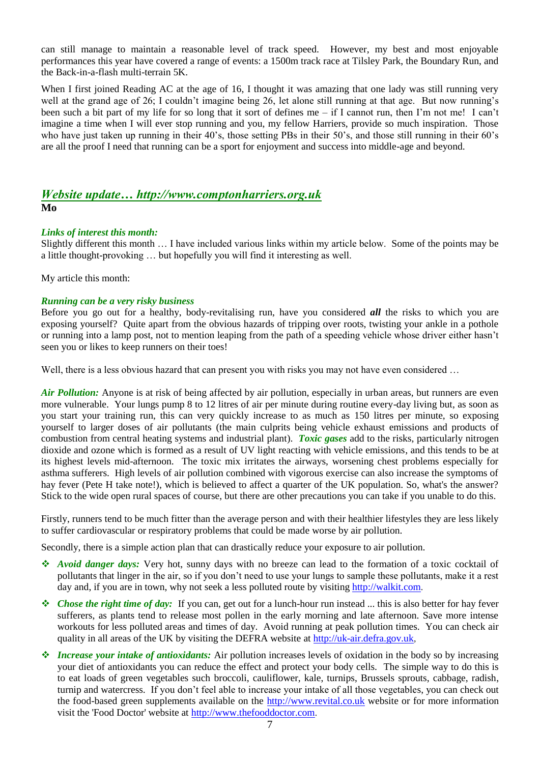can still manage to maintain a reasonable level of track speed. However, my best and most enjoyable performances this year have covered a range of events: a 1500m track race at Tilsley Park, the Boundary Run, and the Back-in-a-flash multi-terrain 5K.

When I first joined Reading AC at the age of 16, I thought it was amazing that one lady was still running very well at the grand age of 26; I couldn't imagine being 26, let alone still running at that age. But now running's been such a bit part of my life for so long that it sort of defines me – if I cannot run, then I"m not me! I can"t imagine a time when I will ever stop running and you, my fellow Harriers, provide so much inspiration. Those who have just taken up running in their 40's, those setting PBs in their 50's, and those still running in their 60's are all the proof I need that running can be a sport for enjoyment and success into middle-age and beyond.

## *Website update… http://www.comptonharriers.org.uk* **Mo**

### *Links of interest this month:*

Slightly different this month … I have included various links within my article below. Some of the points may be a little thought-provoking … but hopefully you will find it interesting as well.

My article this month:

### *Running can be a very risky business*

Before you go out for a healthy, body-revitalising run, have you considered *all* the risks to which you are exposing yourself? Quite apart from the obvious hazards of tripping over roots, twisting your ankle in a pothole or running into a lamp post, not to mention leaping from the path of a speeding vehicle whose driver either hasn"t seen you or likes to keep runners on their toes!

Well, there is a less obvious hazard that can present you with risks you may not have even considered ...

*Air Pollution:* Anyone is at risk of being affected by air pollution, especially in urban areas, but runners are even more vulnerable. Your lungs pump 8 to 12 litres of air per minute during routine every-day living but, as soon as you start your training run, this can very quickly increase to as much as 150 litres per minute, so exposing yourself to larger doses of air pollutants (the main culprits being vehicle exhaust emissions and products of combustion from central heating systems and industrial plant). *Toxic gases* add to the risks, particularly nitrogen dioxide and ozone which is formed as a result of UV light reacting with vehicle emissions, and this tends to be at its highest levels mid-afternoon. The toxic mix irritates the airways, worsening chest problems especially for asthma sufferers. High levels of air pollution combined with vigorous exercise can also increase the symptoms of hay fever (Pete H take note!), which is believed to affect a quarter of the UK population. So, what's the answer? Stick to the wide open rural spaces of course, but there are other precautions you can take if you unable to do this.

Firstly, runners tend to be much fitter than the average person and with their healthier lifestyles they are less likely to suffer cardiovascular or respiratory problems that could be made worse by air pollution.

Secondly, there is a simple action plan that can drastically reduce your exposure to air pollution.

- *Avoid danger days:* Very hot, sunny days with no breeze can lead to the formation of a toxic cocktail of pollutants that linger in the air, so if you don"t need to use your lungs to sample these pollutants, make it a rest day and, if you are in town, why not seek a less polluted route by visiting [http://walkit.com.](http://walkit.com/)
- *Chose the right time of day:* If you can, get out for a lunch-hour run instead ... this is also better for hay fever sufferers, as plants tend to release most pollen in the early morning and late afternoon. Save more intense workouts for less polluted areas and times of day. Avoid running at peak pollution times. You can check air quality in all areas of the UK by visiting the DEFRA website at [http://uk-air.defra.gov.uk,](http://uk-air.defra.gov.uk/)
- *Increase your intake of antioxidants:* Air pollution increases levels of oxidation in the body so by increasing your diet of antioxidants you can reduce the effect and protect your body cells. The simple way to do this is to eat loads of green vegetables such broccoli, cauliflower, kale, turnips, Brussels sprouts, cabbage, radish, turnip and watercress. If you don't feel able to increase your intake of all those vegetables, you can check out the food-based green supplements available on the [http://www.revital.co.uk](http://www.revital.co.uk/) website or for more information visit the 'Food Doctor' website at [http://www.thefooddoctor.com.](http://www.thefooddoctor.com/)